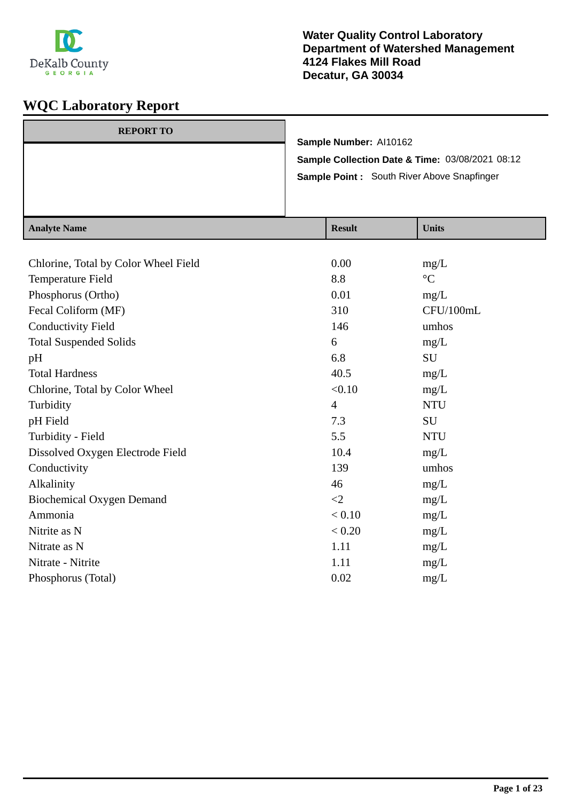

| <b>REPORT TO</b> | Sample Number: Al10162<br>Sample Collection Date & Time: 03/08/2021 08:12<br>Sample Point: South River Above Snapfinger |                |
|------------------|-------------------------------------------------------------------------------------------------------------------------|----------------|
| Analyte Name     | <b>Recult</b>                                                                                                           | <b>I</b> Inite |

| <b>Analyte Name</b>                  | <b>Result</b>  | <b>Units</b>    |
|--------------------------------------|----------------|-----------------|
|                                      |                |                 |
| Chlorine, Total by Color Wheel Field | 0.00           | mg/L            |
| Temperature Field                    | 8.8            | $\rm ^{\circ}C$ |
| Phosphorus (Ortho)                   | 0.01           | mg/L            |
| Fecal Coliform (MF)                  | 310            | CFU/100mL       |
| <b>Conductivity Field</b>            | 146            | umhos           |
| <b>Total Suspended Solids</b>        | 6              | mg/L            |
| pH                                   | 6.8            | SU              |
| <b>Total Hardness</b>                | 40.5           | mg/L            |
| Chlorine, Total by Color Wheel       | < 0.10         | mg/L            |
| Turbidity                            | $\overline{4}$ | <b>NTU</b>      |
| pH Field                             | 7.3            | <b>SU</b>       |
| Turbidity - Field                    | 5.5            | <b>NTU</b>      |
| Dissolved Oxygen Electrode Field     | 10.4           | mg/L            |
| Conductivity                         | 139            | umhos           |
| Alkalinity                           | 46             | mg/L            |
| <b>Biochemical Oxygen Demand</b>     | $\leq$ 2       | mg/L            |
| Ammonia                              | < 0.10         | mg/L            |
| Nitrite as N                         | < 0.20         | mg/L            |
| Nitrate as N                         | 1.11           | mg/L            |
| Nitrate - Nitrite                    | 1.11           | mg/L            |
| Phosphorus (Total)                   | 0.02           | mg/L            |
|                                      |                |                 |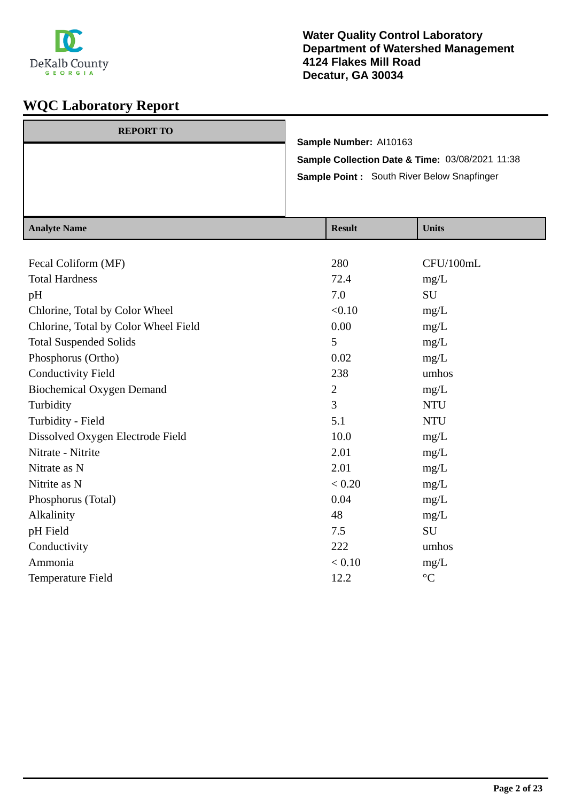

| $A$ notre Nome   |                                                 | $\mathbf{D}_{\alpha}$ . 14 | $\mathbf{H}$ <sub>m</sub> : $\mathbf{L}$ |
|------------------|-------------------------------------------------|----------------------------|------------------------------------------|
|                  | Sample Point: South River Below Snapfinger      |                            |                                          |
|                  | Sample Collection Date & Time: 03/08/2021 11:38 |                            |                                          |
| <b>REPORT TO</b> |                                                 | Sample Number: Al10163     |                                          |

| <b>Analyte Name</b>                  | <b>Result</b> | <b>Units</b>      |
|--------------------------------------|---------------|-------------------|
|                                      |               |                   |
| Fecal Coliform (MF)                  | 280           | CFU/100mL         |
| <b>Total Hardness</b>                | 72.4          | mg/L              |
| pH                                   | 7.0           | <b>SU</b>         |
| Chlorine, Total by Color Wheel       | < 0.10        | mg/L              |
| Chlorine, Total by Color Wheel Field | 0.00          | mg/L              |
| <b>Total Suspended Solids</b>        | 5             | mg/L              |
| Phosphorus (Ortho)                   | 0.02          | mg/L              |
| <b>Conductivity Field</b>            | 238           | umhos             |
| <b>Biochemical Oxygen Demand</b>     | $\mathbf{2}$  | mg/L              |
| Turbidity                            | 3             | <b>NTU</b>        |
| Turbidity - Field                    | 5.1           | <b>NTU</b>        |
| Dissolved Oxygen Electrode Field     | 10.0          | mg/L              |
| Nitrate - Nitrite                    | 2.01          | mg/L              |
| Nitrate as N                         | 2.01          | mg/L              |
| Nitrite as N                         | < 0.20        | mg/L              |
| Phosphorus (Total)                   | 0.04          | mg/L              |
| Alkalinity                           | 48            | mg/L              |
| pH Field                             | 7.5           | SU                |
| Conductivity                         | 222           | umhos             |
| Ammonia                              | < 0.10        | mg/L              |
| Temperature Field                    | 12.2          | $^{\circ}{\rm C}$ |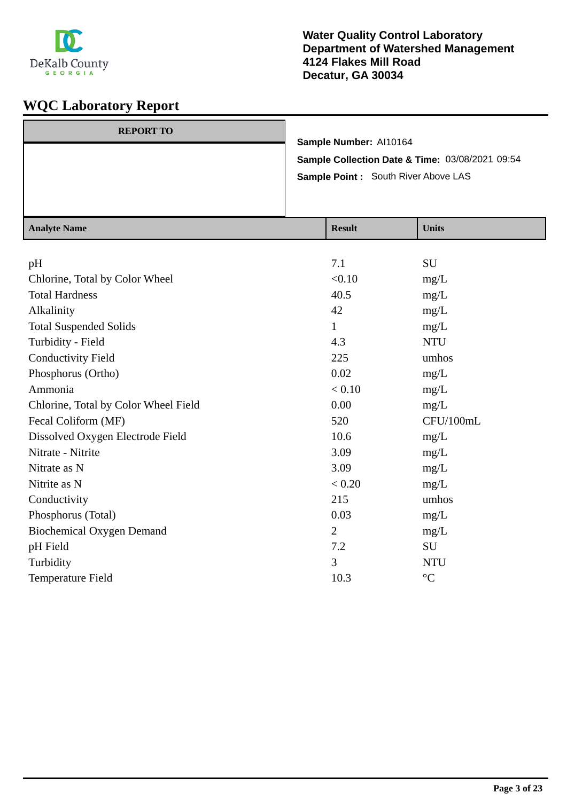

| <b>REPORT TO</b> |                                                 |
|------------------|-------------------------------------------------|
|                  | Sample Number: Al10164                          |
|                  | Sample Collection Date & Time: 03/08/2021 09:54 |
|                  | Sample Point: South River Above LAS             |
|                  |                                                 |
|                  |                                                 |

| <b>Analyte Name</b>                  | <b>Result</b>  | <b>Units</b>    |
|--------------------------------------|----------------|-----------------|
|                                      |                |                 |
| pH                                   | 7.1            | SU              |
| Chlorine, Total by Color Wheel       | < 0.10         | mg/L            |
| <b>Total Hardness</b>                | 40.5           | mg/L            |
| Alkalinity                           | 42             | mg/L            |
| <b>Total Suspended Solids</b>        | $\mathbf{1}$   | mg/L            |
| Turbidity - Field                    | 4.3            | <b>NTU</b>      |
| <b>Conductivity Field</b>            | 225            | umhos           |
| Phosphorus (Ortho)                   | 0.02           | mg/L            |
| Ammonia                              | < 0.10         | mg/L            |
| Chlorine, Total by Color Wheel Field | 0.00           | mg/L            |
| Fecal Coliform (MF)                  | 520            | CFU/100mL       |
| Dissolved Oxygen Electrode Field     | 10.6           | mg/L            |
| Nitrate - Nitrite                    | 3.09           | mg/L            |
| Nitrate as N                         | 3.09           | mg/L            |
| Nitrite as N                         | < 0.20         | mg/L            |
| Conductivity                         | 215            | umhos           |
| Phosphorus (Total)                   | 0.03           | mg/L            |
| <b>Biochemical Oxygen Demand</b>     | $\overline{2}$ | mg/L            |
| pH Field                             | 7.2            | <b>SU</b>       |
| Turbidity                            | 3              | <b>NTU</b>      |
| Temperature Field                    | 10.3           | $\rm ^{\circ}C$ |
|                                      |                |                 |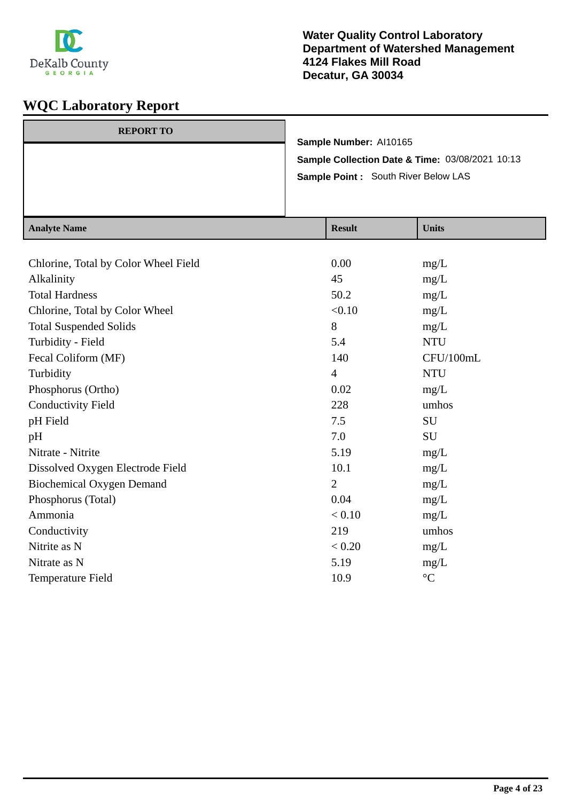

| <b>REPORT TO</b> |                                                                                         | Sample Number: Al10165                  |                                          |
|------------------|-----------------------------------------------------------------------------------------|-----------------------------------------|------------------------------------------|
|                  | Sample Collection Date & Time: 03/08/2021 10:13<br>Sample Point : South River Below LAS |                                         |                                          |
|                  |                                                                                         |                                         |                                          |
|                  |                                                                                         |                                         |                                          |
| $A$ notre Nome   |                                                                                         | $\mathbf{D}_{\alpha\alpha\gamma\gamma}$ | $\mathbf{H}$ <sub>1</sub> : $\mathbf{L}$ |

| <b>Analyte Name</b>                  | <b>Result</b>  | <b>Units</b>    |
|--------------------------------------|----------------|-----------------|
|                                      |                |                 |
| Chlorine, Total by Color Wheel Field | 0.00           | mg/L            |
| Alkalinity                           | 45             | mg/L            |
| <b>Total Hardness</b>                | 50.2           | mg/L            |
| Chlorine, Total by Color Wheel       | < 0.10         | mg/L            |
| <b>Total Suspended Solids</b>        | 8              | mg/L            |
| Turbidity - Field                    | 5.4            | <b>NTU</b>      |
| Fecal Coliform (MF)                  | 140            | CFU/100mL       |
| Turbidity                            | $\overline{4}$ | <b>NTU</b>      |
| Phosphorus (Ortho)                   | 0.02           | mg/L            |
| <b>Conductivity Field</b>            | 228            | umhos           |
| pH Field                             | 7.5            | SU              |
| pH                                   | 7.0            | SU              |
| Nitrate - Nitrite                    | 5.19           | mg/L            |
| Dissolved Oxygen Electrode Field     | 10.1           | mg/L            |
| <b>Biochemical Oxygen Demand</b>     | $\overline{2}$ | mg/L            |
| Phosphorus (Total)                   | 0.04           | mg/L            |
| Ammonia                              | < 0.10         | mg/L            |
| Conductivity                         | 219            | umhos           |
| Nitrite as N                         | < 0.20         | mg/L            |
| Nitrate as N                         | 5.19           | mg/L            |
| Temperature Field                    | 10.9           | $\rm ^{\circ}C$ |
|                                      |                |                 |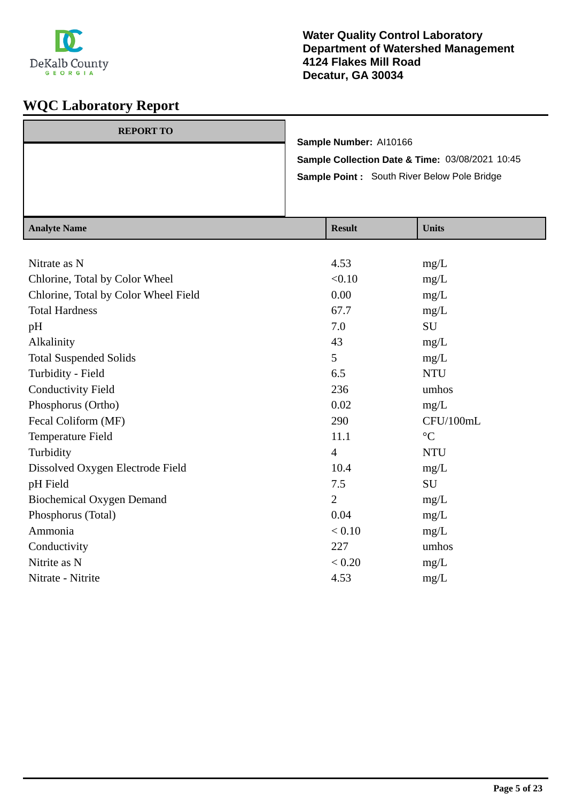

| <b>REPORT TO</b> |                                                 |
|------------------|-------------------------------------------------|
|                  | Sample Number: Al10166                          |
|                  | Sample Collection Date & Time: 03/08/2021 10:45 |
|                  | Sample Point: South River Below Pole Bridge     |
|                  |                                                 |
|                  |                                                 |

| <b>Analyte Name</b>                  | <b>Result</b>  | <b>Units</b>    |
|--------------------------------------|----------------|-----------------|
|                                      |                |                 |
| Nitrate as N                         | 4.53           | mg/L            |
| Chlorine, Total by Color Wheel       | < 0.10         | mg/L            |
| Chlorine, Total by Color Wheel Field | 0.00           | mg/L            |
| <b>Total Hardness</b>                | 67.7           | mg/L            |
| pH                                   | 7.0            | SU              |
| Alkalinity                           | 43             | mg/L            |
| <b>Total Suspended Solids</b>        | 5              | mg/L            |
| Turbidity - Field                    | 6.5            | <b>NTU</b>      |
| <b>Conductivity Field</b>            | 236            | umhos           |
| Phosphorus (Ortho)                   | 0.02           | mg/L            |
| Fecal Coliform (MF)                  | 290            | CFU/100mL       |
| Temperature Field                    | 11.1           | $\rm ^{\circ}C$ |
| Turbidity                            | $\overline{4}$ | <b>NTU</b>      |
| Dissolved Oxygen Electrode Field     | 10.4           | mg/L            |
| pH Field                             | 7.5            | SU              |
| <b>Biochemical Oxygen Demand</b>     | $\overline{2}$ | mg/L            |
| Phosphorus (Total)                   | 0.04           | mg/L            |
| Ammonia                              | < 0.10         | mg/L            |
| Conductivity                         | 227            | umhos           |
| Nitrite as N                         | < 0.20         | mg/L            |
| Nitrate - Nitrite                    | 4.53           | mg/L            |
|                                      |                |                 |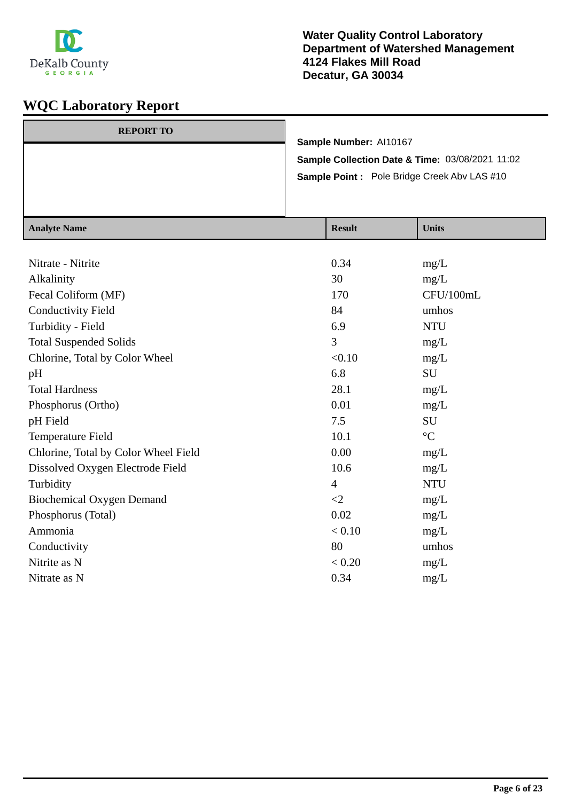

 $\frac{1}{\text{Rank}}$ 

| <b>REPORT TO</b> |                                                    |
|------------------|----------------------------------------------------|
|                  | Sample Number: Al10167                             |
|                  | Sample Collection Date & Time: 03/08/2021 11:02    |
|                  | <b>Sample Point:</b> Pole Bridge Creek Abv LAS #10 |
|                  |                                                    |
|                  |                                                    |

| Nitrate - Nitrite<br>0.34<br>mg/L<br>Alkalinity<br>30<br>mg/L<br>CFU/100mL<br>Fecal Coliform (MF)<br>170<br><b>Conductivity Field</b><br>84<br>umhos<br>6.9<br>Turbidity - Field<br><b>NTU</b><br>3<br><b>Total Suspended Solids</b><br>mg/L<br>Chlorine, Total by Color Wheel<br>< 0.10<br>mg/L<br>6.8<br>SU<br>pH<br>28.1<br><b>Total Hardness</b><br>mg/L<br>0.01<br>Phosphorus (Ortho)<br>mg/L<br>7.5<br><b>SU</b><br>pH Field<br>$\rm ^{\circ}C$<br>10.1<br>Temperature Field<br>0.00<br>Chlorine, Total by Color Wheel Field<br>mg/L<br>10.6<br>Dissolved Oxygen Electrode Field<br>mg/L<br><b>NTU</b><br>Turbidity<br>$\overline{4}$<br><b>Biochemical Oxygen Demand</b><br>$\leq$ 2<br>mg/L<br>Phosphorus (Total)<br>0.02<br>mg/L<br>Ammonia<br>< 0.10<br>mg/L<br>80<br>umhos<br>Conductivity<br>Nitrite as N<br>< 0.20<br>mg/L | <b>Analyte Name</b> | <b>Result</b> | <b>Units</b> |
|-----------------------------------------------------------------------------------------------------------------------------------------------------------------------------------------------------------------------------------------------------------------------------------------------------------------------------------------------------------------------------------------------------------------------------------------------------------------------------------------------------------------------------------------------------------------------------------------------------------------------------------------------------------------------------------------------------------------------------------------------------------------------------------------------------------------------------------------|---------------------|---------------|--------------|
|                                                                                                                                                                                                                                                                                                                                                                                                                                                                                                                                                                                                                                                                                                                                                                                                                                         |                     |               |              |
|                                                                                                                                                                                                                                                                                                                                                                                                                                                                                                                                                                                                                                                                                                                                                                                                                                         |                     |               |              |
|                                                                                                                                                                                                                                                                                                                                                                                                                                                                                                                                                                                                                                                                                                                                                                                                                                         |                     |               |              |
|                                                                                                                                                                                                                                                                                                                                                                                                                                                                                                                                                                                                                                                                                                                                                                                                                                         |                     |               |              |
|                                                                                                                                                                                                                                                                                                                                                                                                                                                                                                                                                                                                                                                                                                                                                                                                                                         |                     |               |              |
|                                                                                                                                                                                                                                                                                                                                                                                                                                                                                                                                                                                                                                                                                                                                                                                                                                         |                     |               |              |
|                                                                                                                                                                                                                                                                                                                                                                                                                                                                                                                                                                                                                                                                                                                                                                                                                                         |                     |               |              |
|                                                                                                                                                                                                                                                                                                                                                                                                                                                                                                                                                                                                                                                                                                                                                                                                                                         |                     |               |              |
|                                                                                                                                                                                                                                                                                                                                                                                                                                                                                                                                                                                                                                                                                                                                                                                                                                         |                     |               |              |
|                                                                                                                                                                                                                                                                                                                                                                                                                                                                                                                                                                                                                                                                                                                                                                                                                                         |                     |               |              |
|                                                                                                                                                                                                                                                                                                                                                                                                                                                                                                                                                                                                                                                                                                                                                                                                                                         |                     |               |              |
|                                                                                                                                                                                                                                                                                                                                                                                                                                                                                                                                                                                                                                                                                                                                                                                                                                         |                     |               |              |
|                                                                                                                                                                                                                                                                                                                                                                                                                                                                                                                                                                                                                                                                                                                                                                                                                                         |                     |               |              |
|                                                                                                                                                                                                                                                                                                                                                                                                                                                                                                                                                                                                                                                                                                                                                                                                                                         |                     |               |              |
|                                                                                                                                                                                                                                                                                                                                                                                                                                                                                                                                                                                                                                                                                                                                                                                                                                         |                     |               |              |
|                                                                                                                                                                                                                                                                                                                                                                                                                                                                                                                                                                                                                                                                                                                                                                                                                                         |                     |               |              |
|                                                                                                                                                                                                                                                                                                                                                                                                                                                                                                                                                                                                                                                                                                                                                                                                                                         |                     |               |              |
|                                                                                                                                                                                                                                                                                                                                                                                                                                                                                                                                                                                                                                                                                                                                                                                                                                         |                     |               |              |
|                                                                                                                                                                                                                                                                                                                                                                                                                                                                                                                                                                                                                                                                                                                                                                                                                                         |                     |               |              |
|                                                                                                                                                                                                                                                                                                                                                                                                                                                                                                                                                                                                                                                                                                                                                                                                                                         |                     |               |              |
|                                                                                                                                                                                                                                                                                                                                                                                                                                                                                                                                                                                                                                                                                                                                                                                                                                         |                     |               |              |
|                                                                                                                                                                                                                                                                                                                                                                                                                                                                                                                                                                                                                                                                                                                                                                                                                                         | Nitrate as N        | 0.34          | mg/L         |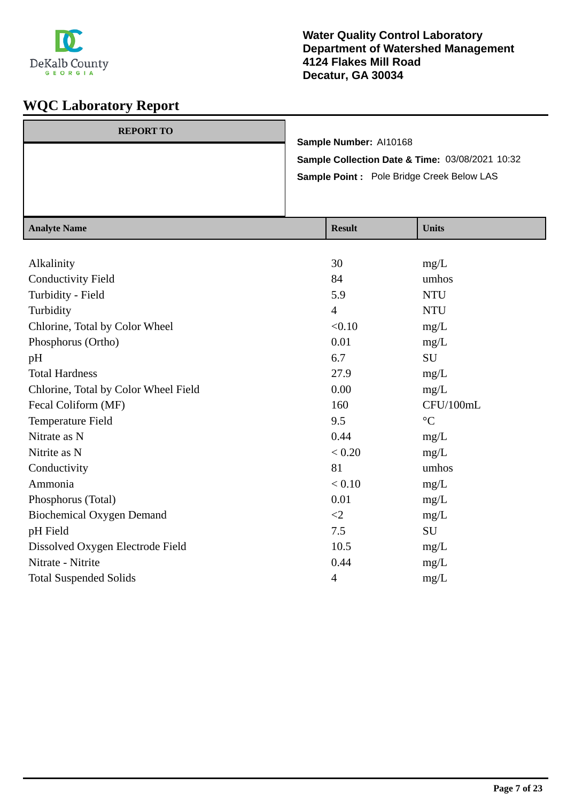

| <b>REPORT TO</b> |                                                 |
|------------------|-------------------------------------------------|
|                  | Sample Number: Al10168                          |
|                  | Sample Collection Date & Time: 03/08/2021 10:32 |
|                  | Sample Point : Pole Bridge Creek Below LAS      |
|                  |                                                 |
|                  |                                                 |

| <b>Analyte Name</b>                  | <b>Result</b>  | <b>Units</b>    |
|--------------------------------------|----------------|-----------------|
|                                      |                |                 |
| Alkalinity                           | 30             | mg/L            |
| <b>Conductivity Field</b>            | 84             | umhos           |
| Turbidity - Field                    | 5.9            | <b>NTU</b>      |
| Turbidity                            | $\overline{4}$ | <b>NTU</b>      |
| Chlorine, Total by Color Wheel       | < 0.10         | mg/L            |
| Phosphorus (Ortho)                   | 0.01           | mg/L            |
| pH                                   | 6.7            | SU              |
| <b>Total Hardness</b>                | 27.9           | mg/L            |
| Chlorine, Total by Color Wheel Field | 0.00           | mg/L            |
| Fecal Coliform (MF)                  | 160            | CFU/100mL       |
| Temperature Field                    | 9.5            | $\rm ^{\circ}C$ |
| Nitrate as N                         | 0.44           | mg/L            |
| Nitrite as N                         | < 0.20         | mg/L            |
| Conductivity                         | 81             | umhos           |
| Ammonia                              | < 0.10         | mg/L            |
| Phosphorus (Total)                   | 0.01           | mg/L            |
| <b>Biochemical Oxygen Demand</b>     | $\leq$ 2       | mg/L            |
| pH Field                             | 7.5            | SU              |
| Dissolved Oxygen Electrode Field     | 10.5           | mg/L            |
| Nitrate - Nitrite                    | 0.44           | mg/L            |
| <b>Total Suspended Solids</b>        | 4              | mg/L            |
|                                      |                |                 |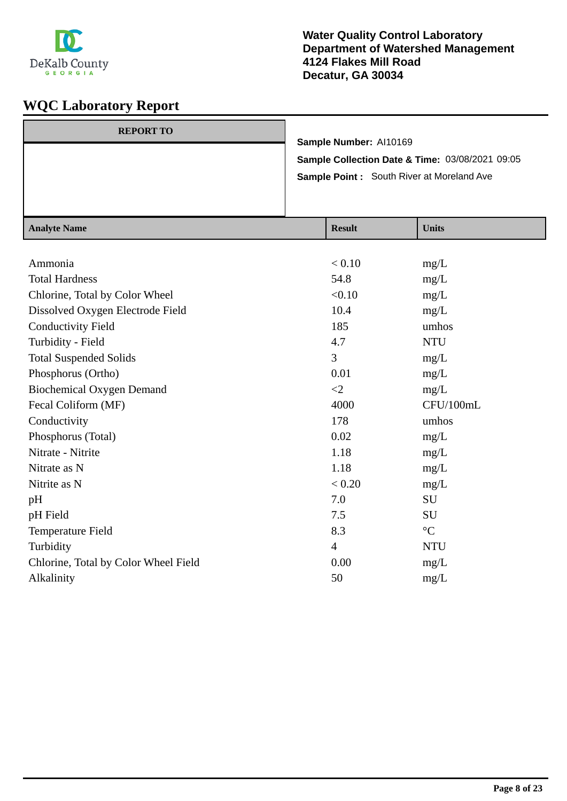

| <b>REPORT TO</b> |                                                  |
|------------------|--------------------------------------------------|
|                  | Sample Number: Al10169                           |
|                  | Sample Collection Date & Time: 03/08/2021 09:05  |
|                  | <b>Sample Point:</b> South River at Moreland Ave |
|                  |                                                  |
|                  |                                                  |

| <b>Analyte Name</b>                  | <b>Result</b>  | <b>Units</b>    |
|--------------------------------------|----------------|-----------------|
|                                      |                |                 |
| Ammonia                              | < 0.10         | mg/L            |
| <b>Total Hardness</b>                | 54.8           | mg/L            |
| Chlorine, Total by Color Wheel       | < 0.10         | mg/L            |
| Dissolved Oxygen Electrode Field     | 10.4           | mg/L            |
| <b>Conductivity Field</b>            | 185            | umhos           |
| Turbidity - Field                    | 4.7            | <b>NTU</b>      |
| <b>Total Suspended Solids</b>        | 3              | mg/L            |
| Phosphorus (Ortho)                   | 0.01           | mg/L            |
| <b>Biochemical Oxygen Demand</b>     | $\leq$ 2       | mg/L            |
| Fecal Coliform (MF)                  | 4000           | CFU/100mL       |
| Conductivity                         | 178            | umhos           |
| Phosphorus (Total)                   | 0.02           | mg/L            |
| Nitrate - Nitrite                    | 1.18           | mg/L            |
| Nitrate as N                         | 1.18           | mg/L            |
| Nitrite as N                         | < 0.20         | mg/L            |
| pH                                   | 7.0            | SU              |
| pH Field                             | 7.5            | SU              |
| Temperature Field                    | 8.3            | $\rm ^{\circ}C$ |
| Turbidity                            | $\overline{4}$ | <b>NTU</b>      |
| Chlorine, Total by Color Wheel Field | 0.00           | mg/L            |
| Alkalinity                           | 50             | mg/L            |
|                                      |                |                 |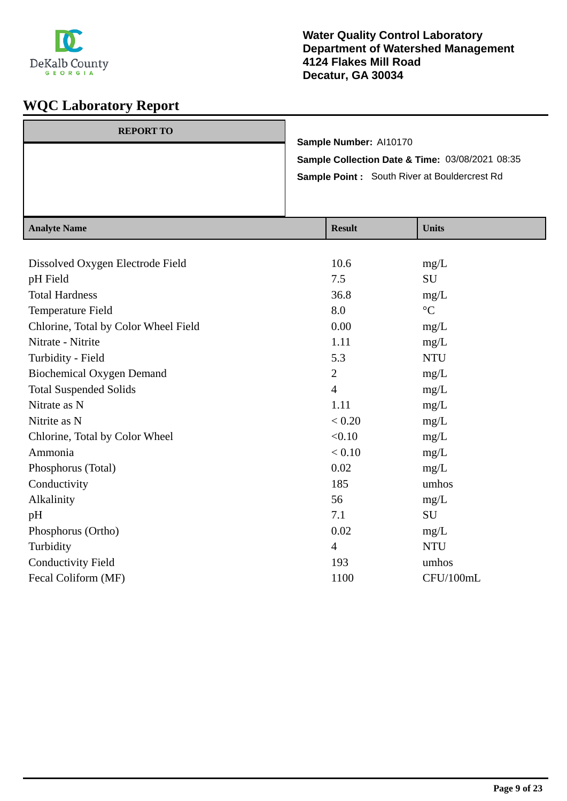

| <b>REPORT TO</b> | Sample Number: Al10170                                                                                            |
|------------------|-------------------------------------------------------------------------------------------------------------------|
|                  | <b>Sample Collection Date &amp; Time: 03/08/2021 08:35</b><br><b>Sample Point:</b> South River at Bouldercrest Rd |
|                  |                                                                                                                   |

| <b>Analyte Name</b>                  | <b>Result</b>  | <b>Units</b>      |
|--------------------------------------|----------------|-------------------|
|                                      |                |                   |
| Dissolved Oxygen Electrode Field     | 10.6           | mg/L              |
| pH Field                             | 7.5            | SU                |
| <b>Total Hardness</b>                | 36.8           | mg/L              |
| Temperature Field                    | 8.0            | $^{\circ}{\rm C}$ |
| Chlorine, Total by Color Wheel Field | 0.00           | mg/L              |
| Nitrate - Nitrite                    | 1.11           | mg/L              |
| Turbidity - Field                    | 5.3            | <b>NTU</b>        |
| <b>Biochemical Oxygen Demand</b>     | 2              | mg/L              |
| <b>Total Suspended Solids</b>        | $\overline{4}$ | mg/L              |
| Nitrate as N                         | 1.11           | mg/L              |
| Nitrite as N                         | < 0.20         | mg/L              |
| Chlorine, Total by Color Wheel       | < 0.10         | mg/L              |
| Ammonia                              | < 0.10         | mg/L              |
| Phosphorus (Total)                   | 0.02           | mg/L              |
| Conductivity                         | 185            | umhos             |
| Alkalinity                           | 56             | mg/L              |
| pH                                   | 7.1            | <b>SU</b>         |
| Phosphorus (Ortho)                   | 0.02           | mg/L              |
| Turbidity                            | $\overline{4}$ | <b>NTU</b>        |
| <b>Conductivity Field</b>            | 193            | umhos             |
| Fecal Coliform (MF)                  | 1100           | CFU/100mL         |
|                                      |                |                   |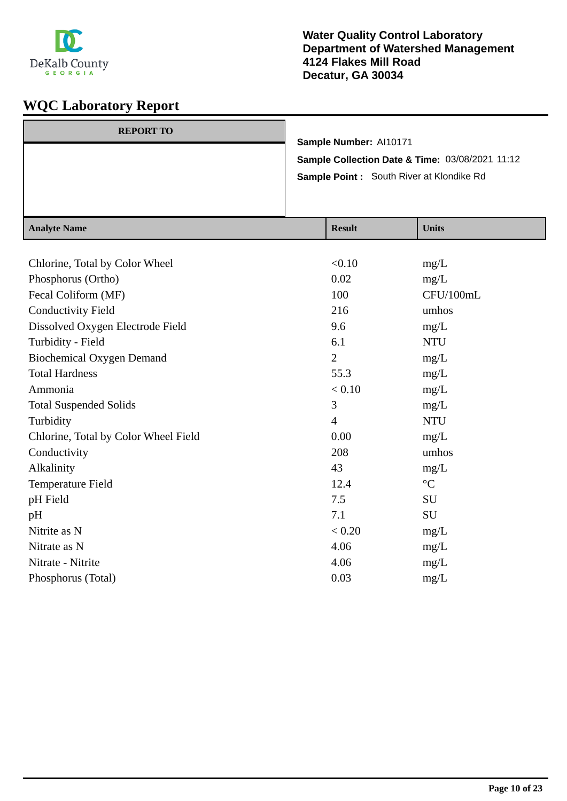

| <b>REPORT TO</b> | Sample Number: Al10171<br>Sample Collection Date & Time: 03/08/2021 11:12<br><b>Sample Point:</b> South River at Klondike Rd |                |
|------------------|------------------------------------------------------------------------------------------------------------------------------|----------------|
| Analyte Name     | <b>Recult</b>                                                                                                                | <b>I</b> Inite |

| <b>Result</b>  | <b>Units</b>    |
|----------------|-----------------|
|                |                 |
| < 0.10         | mg/L            |
| 0.02           | mg/L            |
| 100            | CFU/100mL       |
| 216            | umhos           |
| 9.6            | mg/L            |
| 6.1            | <b>NTU</b>      |
| $\overline{2}$ | mg/L            |
| 55.3           | mg/L            |
| < 0.10         | mg/L            |
| 3              | mg/L            |
| $\overline{4}$ | <b>NTU</b>      |
| 0.00           | mg/L            |
| 208            | umhos           |
| 43             | mg/L            |
| 12.4           | $\rm ^{\circ}C$ |
| 7.5            | SU              |
| 7.1            | SU              |
| < 0.20         | mg/L            |
| 4.06           | mg/L            |
| 4.06           | mg/L            |
| 0.03           | mg/L            |
|                |                 |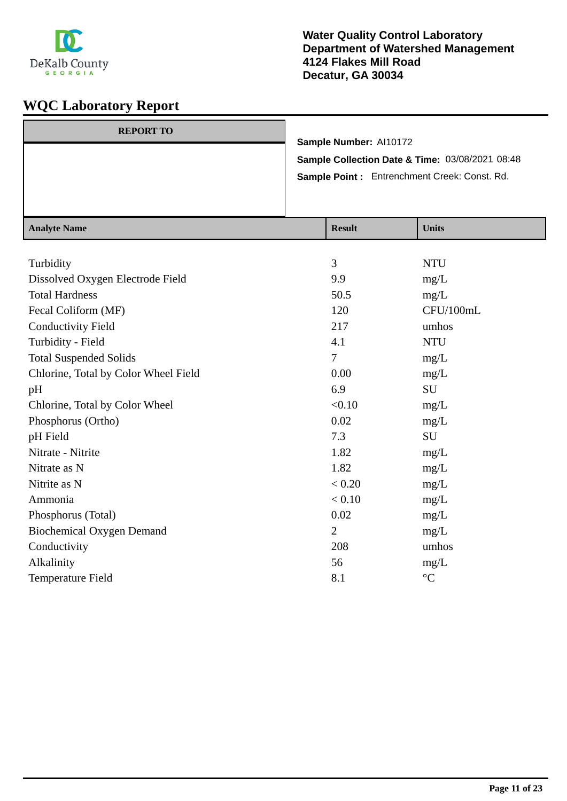

| <b>REPORT TO</b> |                                                 |
|------------------|-------------------------------------------------|
|                  | Sample Number: Al10172                          |
|                  | Sample Collection Date & Time: 03/08/2021 08:48 |
|                  | Sample Point: Entrenchment Creek: Const. Rd.    |
|                  |                                                 |
|                  |                                                 |

| <b>Analyte Name</b>                  | <b>Result</b>  | <b>Units</b>    |
|--------------------------------------|----------------|-----------------|
|                                      |                |                 |
| Turbidity                            | 3              | <b>NTU</b>      |
| Dissolved Oxygen Electrode Field     | 9.9            | mg/L            |
| <b>Total Hardness</b>                | 50.5           | mg/L            |
| Fecal Coliform (MF)                  | 120            | CFU/100mL       |
| <b>Conductivity Field</b>            | 217            | umhos           |
| Turbidity - Field                    | 4.1            | <b>NTU</b>      |
| <b>Total Suspended Solids</b>        | 7              | mg/L            |
| Chlorine, Total by Color Wheel Field | 0.00           | mg/L            |
| pH                                   | 6.9            | SU              |
| Chlorine, Total by Color Wheel       | < 0.10         | mg/L            |
| Phosphorus (Ortho)                   | 0.02           | mg/L            |
| pH Field                             | 7.3            | SU              |
| Nitrate - Nitrite                    | 1.82           | mg/L            |
| Nitrate as N                         | 1.82           | mg/L            |
| Nitrite as N                         | < 0.20         | mg/L            |
| Ammonia                              | < 0.10         | mg/L            |
| Phosphorus (Total)                   | 0.02           | mg/L            |
| <b>Biochemical Oxygen Demand</b>     | $\overline{2}$ | mg/L            |
| Conductivity                         | 208            | umhos           |
| Alkalinity                           | 56             | mg/L            |
| Temperature Field                    | 8.1            | $\rm ^{\circ}C$ |
|                                      |                |                 |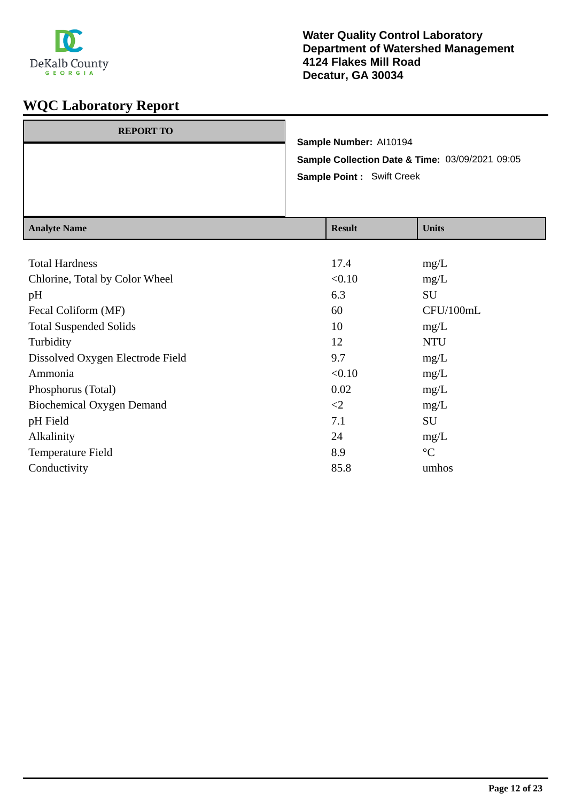

| <b>REPORT TO</b> |                                                 |  |
|------------------|-------------------------------------------------|--|
|                  | Sample Number: Al10194                          |  |
|                  | Sample Collection Date & Time: 03/09/2021 09:05 |  |
|                  | <b>Sample Point: Swift Creek</b>                |  |
|                  |                                                 |  |
|                  |                                                 |  |
|                  |                                                 |  |

| <b>Analyte Name</b>              | <b>Result</b> | <b>Units</b>    |
|----------------------------------|---------------|-----------------|
|                                  |               |                 |
| <b>Total Hardness</b>            | 17.4          | mg/L            |
| Chlorine, Total by Color Wheel   | < 0.10        | mg/L            |
| pH                               | 6.3           | SU              |
| Fecal Coliform (MF)              | 60            | CFU/100mL       |
| <b>Total Suspended Solids</b>    | 10            | mg/L            |
| Turbidity                        | 12            | <b>NTU</b>      |
| Dissolved Oxygen Electrode Field | 9.7           | mg/L            |
| Ammonia                          | < 0.10        | mg/L            |
| Phosphorus (Total)               | 0.02          | mg/L            |
| <b>Biochemical Oxygen Demand</b> | $\leq$ 2      | mg/L            |
| pH Field                         | 7.1           | SU              |
| Alkalinity                       | 24            | mg/L            |
| Temperature Field                | 8.9           | $\rm ^{\circ}C$ |
| Conductivity                     | 85.8          | umhos           |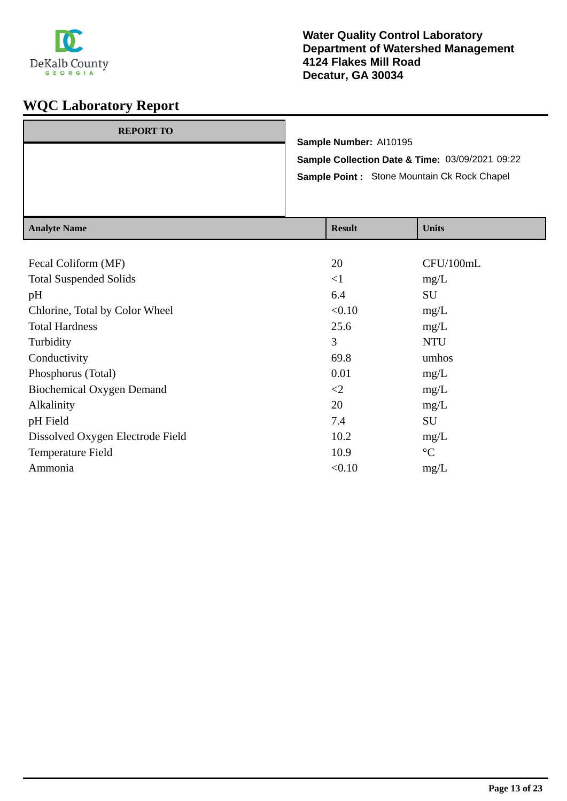

|  | Sample Number: Al10195 | <b>Sample Collection Date &amp; Time: 03/09/2021 09:22</b> |
|--|------------------------|------------------------------------------------------------|
|  |                        | Sample Point : Stone Mountain Ck Rock Chapel               |

| Analyte Name                     | Result   | <b>UIIII</b> S  |
|----------------------------------|----------|-----------------|
|                                  |          |                 |
| Fecal Coliform (MF)              | 20       | CFU/100mL       |
| <b>Total Suspended Solids</b>    | $\leq$ 1 | mg/L            |
| pH                               | 6.4      | SU              |
| Chlorine, Total by Color Wheel   | < 0.10   | mg/L            |
| <b>Total Hardness</b>            | 25.6     | mg/L            |
| Turbidity                        | 3        | <b>NTU</b>      |
| Conductivity                     | 69.8     | umhos           |
| Phosphorus (Total)               | 0.01     | mg/L            |
| Biochemical Oxygen Demand        | $\leq$   | mg/L            |
| Alkalinity                       | 20       | mg/L            |
| pH Field                         | 7.4      | SU              |
| Dissolved Oxygen Electrode Field | 10.2     | mg/L            |
| Temperature Field                | 10.9     | $\rm ^{\circ}C$ |
| Ammonia                          | < 0.10   | mg/L            |
|                                  |          |                 |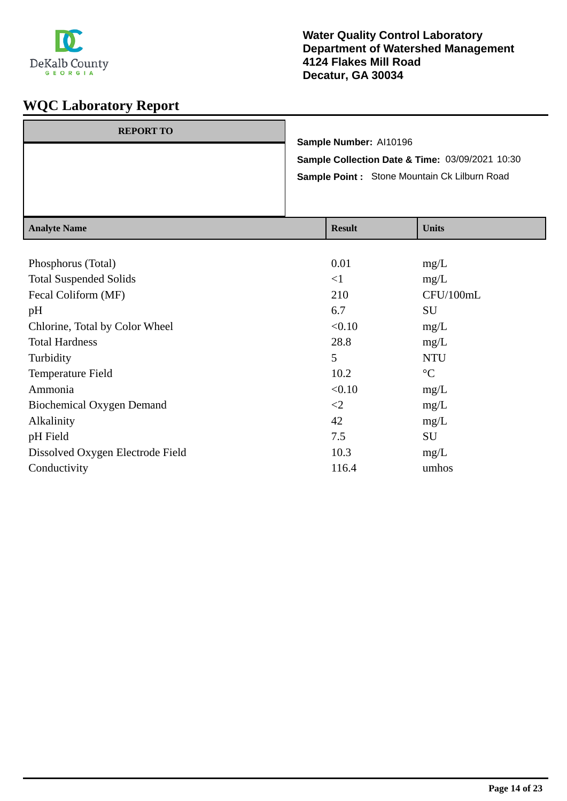

| <b>REPORT TO</b> |                            | Sample Number: Al10196 |                                                 |
|------------------|----------------------------|------------------------|-------------------------------------------------|
|                  |                            |                        | Sample Collection Date & Time: 03/09/2021 10:30 |
|                  |                            |                        | Sample Point: Stone Mountain Ck Lilburn Road    |
|                  |                            |                        |                                                 |
|                  |                            |                        |                                                 |
| $A$ notre Nome   | $\mathbf{D}_{\alpha}$ . 14 |                        | $\mathbf{H}$ $\mathbf{L}$ $\mathbf{L}$          |

| <b>Result</b> | Units           |
|---------------|-----------------|
|               |                 |
| 0.01          | mg/L            |
| $\leq$ 1      | mg/L            |
| 210           | CFU/100mL       |
| 6.7           | SU              |
| < 0.10        | mg/L            |
| 28.8          | mg/L            |
| 5             | <b>NTU</b>      |
| 10.2          | $\rm ^{\circ}C$ |
| < 0.10        | mg/L            |
| $\leq$        | mg/L            |
| 42            | mg/L            |
| 7.5           | SU              |
| 10.3          | mg/L            |
| 116.4         | umhos           |
|               |                 |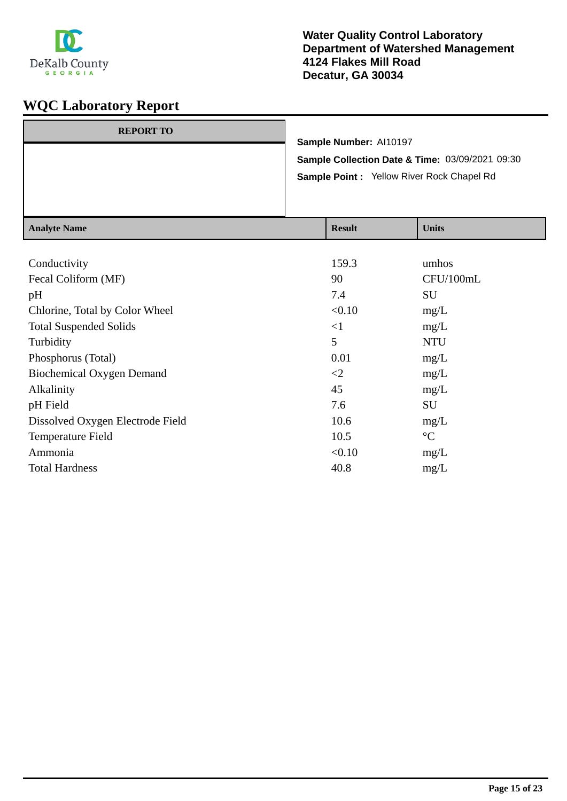

| <b>REPORT TO</b> |                                                 |
|------------------|-------------------------------------------------|
|                  | Sample Number: Al10197                          |
|                  | Sample Collection Date & Time: 03/09/2021 09:30 |
|                  | Sample Point : Yellow River Rock Chapel Rd      |
|                  |                                                 |
|                  |                                                 |

| <b>Analyte Name</b>              | <b>Result</b> | <b>Units</b>    |
|----------------------------------|---------------|-----------------|
|                                  |               |                 |
| Conductivity                     | 159.3         | umhos           |
| Fecal Coliform (MF)              | 90            | CFU/100mL       |
| pH                               | 7.4           | SU              |
| Chlorine, Total by Color Wheel   | < 0.10        | mg/L            |
| <b>Total Suspended Solids</b>    | $\leq$ 1      | mg/L            |
| Turbidity                        | 5             | <b>NTU</b>      |
| Phosphorus (Total)               | 0.01          | mg/L            |
| <b>Biochemical Oxygen Demand</b> | $\leq$ 2      | mg/L            |
| Alkalinity                       | 45            | mg/L            |
| pH Field                         | 7.6           | SU              |
| Dissolved Oxygen Electrode Field | 10.6          | mg/L            |
| Temperature Field                | 10.5          | $\rm ^{\circ}C$ |
| Ammonia                          | < 0.10        | mg/L            |
| <b>Total Hardness</b>            | 40.8          | mg/L            |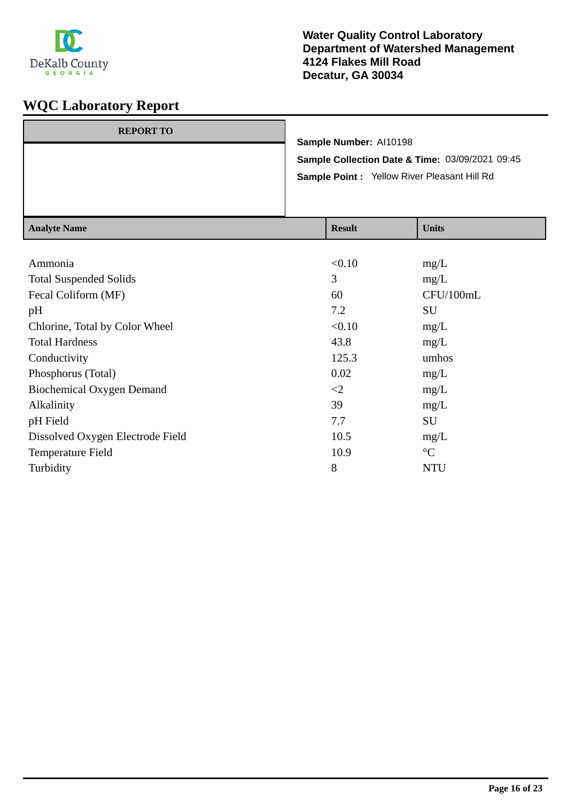

| <b>REPORT TO</b> |                                                 |
|------------------|-------------------------------------------------|
|                  | Sample Number: Al10198                          |
|                  | Sample Collection Date & Time: 03/09/2021 09:45 |
|                  | Sample Point : Yellow River Pleasant Hill Rd    |
|                  |                                                 |
|                  |                                                 |

| <b>Analyte Name</b>              | <b>Result</b> | <b>Units</b>    |
|----------------------------------|---------------|-----------------|
|                                  |               |                 |
| Ammonia                          | < 0.10        | mg/L            |
| <b>Total Suspended Solids</b>    | 3             | mg/L            |
| Fecal Coliform (MF)              | 60            | CFU/100mL       |
| pH                               | 7.2           | <b>SU</b>       |
| Chlorine, Total by Color Wheel   | < 0.10        | mg/L            |
| <b>Total Hardness</b>            | 43.8          | mg/L            |
| Conductivity                     | 125.3         | umhos           |
| Phosphorus (Total)               | 0.02          | mg/L            |
| <b>Biochemical Oxygen Demand</b> | $\leq$        | mg/L            |
| Alkalinity                       | 39            | mg/L            |
| pH Field                         | 7.7           | SU              |
| Dissolved Oxygen Electrode Field | 10.5          | mg/L            |
| Temperature Field                | 10.9          | $\rm ^{\circ}C$ |
| Turbidity                        | 8             | <b>NTU</b>      |
|                                  |               |                 |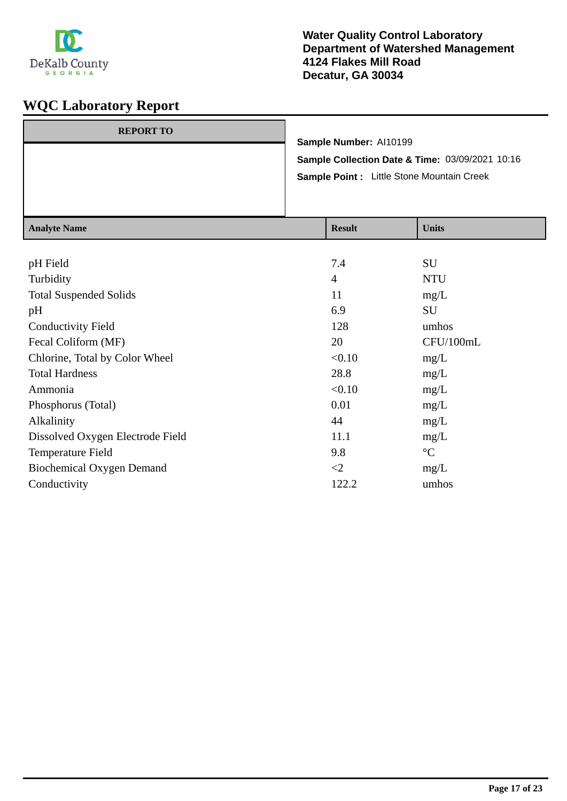

| <b>REPORT TO</b> |                                                 |
|------------------|-------------------------------------------------|
|                  | Sample Number: Al10199                          |
|                  | Sample Collection Date & Time: 03/09/2021 10:16 |
|                  | Sample Point : Little Stone Mountain Creek      |
|                  |                                                 |
|                  |                                                 |

| <b>Result</b>  | <b>Units</b>    |
|----------------|-----------------|
|                |                 |
| 7.4            | SU              |
| $\overline{4}$ | <b>NTU</b>      |
| 11             | mg/L            |
| 6.9            | SU              |
| 128            | umhos           |
| 20             | CFU/100mL       |
| < 0.10         | mg/L            |
| 28.8           | mg/L            |
| < 0.10         | mg/L            |
| 0.01           | mg/L            |
| 44             | mg/L            |
| 11.1           | mg/L            |
| 9.8            | $\rm ^{\circ}C$ |
| $\leq$         | mg/L            |
| 122.2          | umhos           |
|                |                 |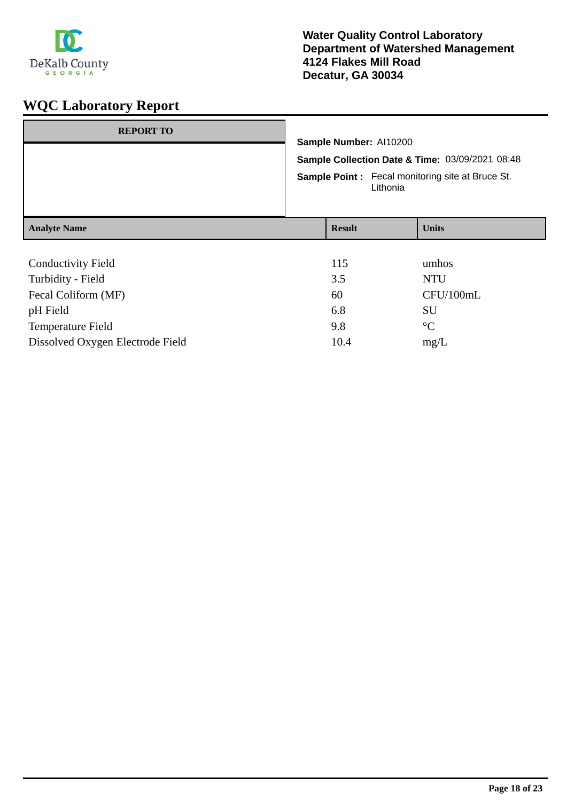

| <b>REPORT TO</b>                 | Sample Number: Al10200<br>Lithonia | Sample Collection Date & Time: 03/09/2021 08:48<br><b>Sample Point:</b> Fecal monitoring site at Bruce St. |
|----------------------------------|------------------------------------|------------------------------------------------------------------------------------------------------------|
| <b>Analyte Name</b>              | <b>Result</b>                      | <b>Units</b>                                                                                               |
|                                  |                                    |                                                                                                            |
| <b>Conductivity Field</b>        | 115                                | umhos                                                                                                      |
| Turbidity - Field                | 3.5                                | <b>NTU</b>                                                                                                 |
| Fecal Coliform (MF)              | 60                                 | CFU/100mL                                                                                                  |
| pH Field                         | 6.8                                | SU                                                                                                         |
| Temperature Field                | 9.8                                | $\rm ^{\circ}C$                                                                                            |
| Dissolved Oxygen Electrode Field | 10.4                               | mg/L                                                                                                       |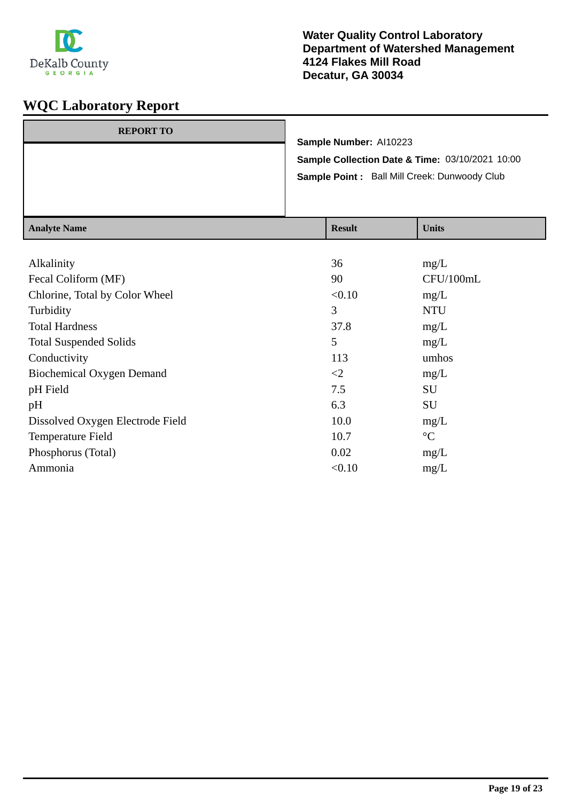

| <b>REPORT TO</b> | Sample Number: Al10223                          |
|------------------|-------------------------------------------------|
|                  | Sample Collection Date & Time: 03/10/2021 10:00 |
|                  | Sample Point: Ball Mill Creek: Dunwoody Club    |
|                  |                                                 |

| <b>Analyte Name</b>              | <b>Result</b> | <b>Units</b>    |
|----------------------------------|---------------|-----------------|
|                                  |               |                 |
| Alkalinity                       | 36            | mg/L            |
| Fecal Coliform (MF)              | 90            | CFU/100mL       |
| Chlorine, Total by Color Wheel   | < 0.10        | mg/L            |
| Turbidity                        | 3             | <b>NTU</b>      |
| <b>Total Hardness</b>            | 37.8          | mg/L            |
| <b>Total Suspended Solids</b>    | 5             | mg/L            |
| Conductivity                     | 113           | umhos           |
| <b>Biochemical Oxygen Demand</b> | $\leq$        | mg/L            |
| pH Field                         | 7.5           | SU              |
| pH                               | 6.3           | SU              |
| Dissolved Oxygen Electrode Field | 10.0          | mg/L            |
| Temperature Field                | 10.7          | $\rm ^{\circ}C$ |
| Phosphorus (Total)               | 0.02          | mg/L            |
| Ammonia                          | < 0.10        | mg/L            |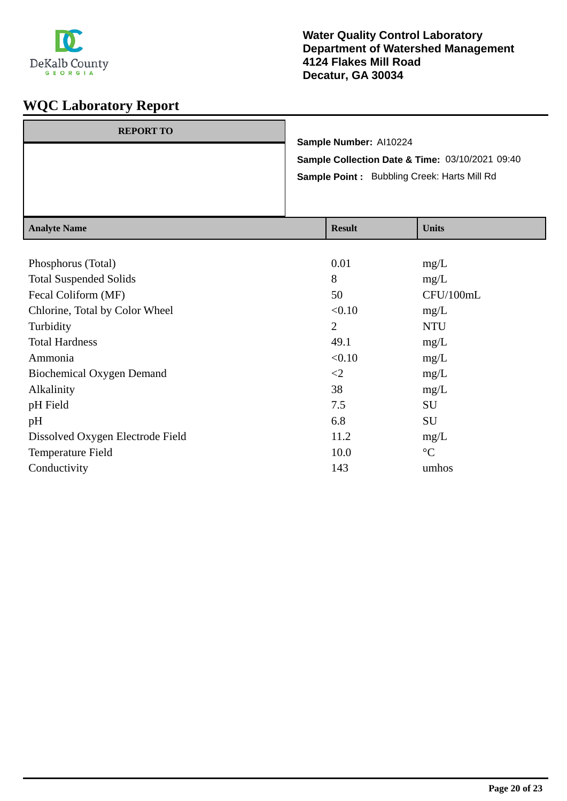

| <b>REPORT TO</b> | Sample Number: Al10224                          |
|------------------|-------------------------------------------------|
|                  |                                                 |
|                  | Sample Collection Date & Time: 03/10/2021 09:40 |
|                  | Sample Point: Bubbling Creek: Harts Mill Rd     |
|                  |                                                 |
|                  |                                                 |
|                  |                                                 |

| <b>Analyte Name</b>              | <b>Result</b>  | <b>Units</b>    |
|----------------------------------|----------------|-----------------|
|                                  |                |                 |
| Phosphorus (Total)               | 0.01           | mg/L            |
| <b>Total Suspended Solids</b>    | 8              | mg/L            |
| Fecal Coliform (MF)              | 50             | CFU/100mL       |
| Chlorine, Total by Color Wheel   | < 0.10         | mg/L            |
| Turbidity                        | $\overline{2}$ | <b>NTU</b>      |
| <b>Total Hardness</b>            | 49.1           | mg/L            |
| Ammonia                          | < 0.10         | mg/L            |
| <b>Biochemical Oxygen Demand</b> | $\leq$ 2       | mg/L            |
| Alkalinity                       | 38             | mg/L            |
| pH Field                         | 7.5            | SU              |
| pH                               | 6.8            | SU              |
| Dissolved Oxygen Electrode Field | 11.2           | mg/L            |
| Temperature Field                | 10.0           | $\rm ^{\circ}C$ |
| Conductivity                     | 143            | umhos           |
|                                  |                |                 |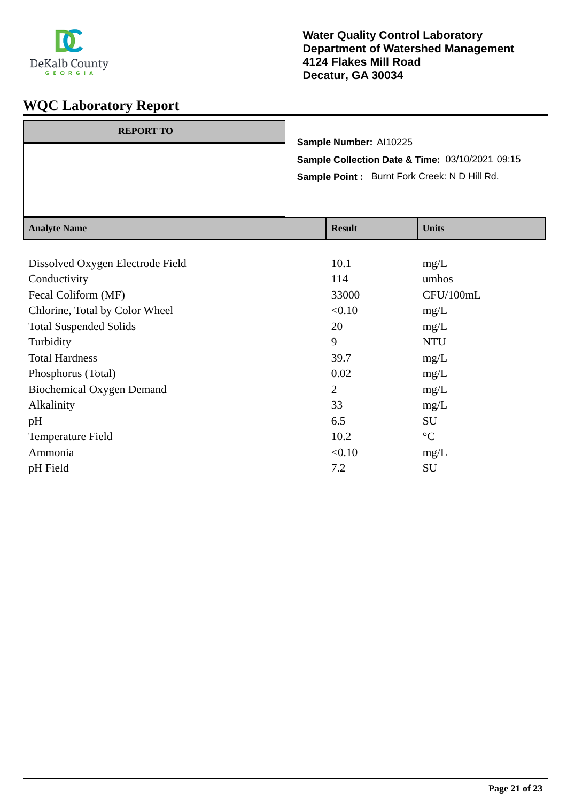

| Sample Number: Al10225<br>Sample Collection Date & Time: 03/10/2021 09:15<br>Sample Point: Burnt Fork Creek: N D Hill Rd. | $A$ noted Nome   |  | $\mathbf{D}_{\alpha}$ . 14 | $\mathbf{H}$ $\mathbf{L}$ $\mathbf{L}$ |
|---------------------------------------------------------------------------------------------------------------------------|------------------|--|----------------------------|----------------------------------------|
|                                                                                                                           |                  |  |                            |                                        |
|                                                                                                                           |                  |  |                            |                                        |
|                                                                                                                           | <b>REPORT TO</b> |  |                            |                                        |

| Analyte Name                     | result         | <b>UIIII</b> S  |
|----------------------------------|----------------|-----------------|
|                                  |                |                 |
| Dissolved Oxygen Electrode Field | 10.1           | mg/L            |
| Conductivity                     | 114            | umhos           |
| Fecal Coliform (MF)              | 33000          | CFU/100mL       |
| Chlorine, Total by Color Wheel   | < 0.10         | mg/L            |
| <b>Total Suspended Solids</b>    | 20             | mg/L            |
| Turbidity                        | 9              | <b>NTU</b>      |
| <b>Total Hardness</b>            | 39.7           | mg/L            |
| Phosphorus (Total)               | 0.02           | mg/L            |
| <b>Biochemical Oxygen Demand</b> | $\overline{2}$ | mg/L            |
| Alkalinity                       | 33             | mg/L            |
| pH                               | 6.5            | SU              |
| Temperature Field                | 10.2           | $\rm ^{\circ}C$ |
| Ammonia                          | < 0.10         | mg/L            |
| pH Field                         | 7.2            | SU              |
|                                  |                |                 |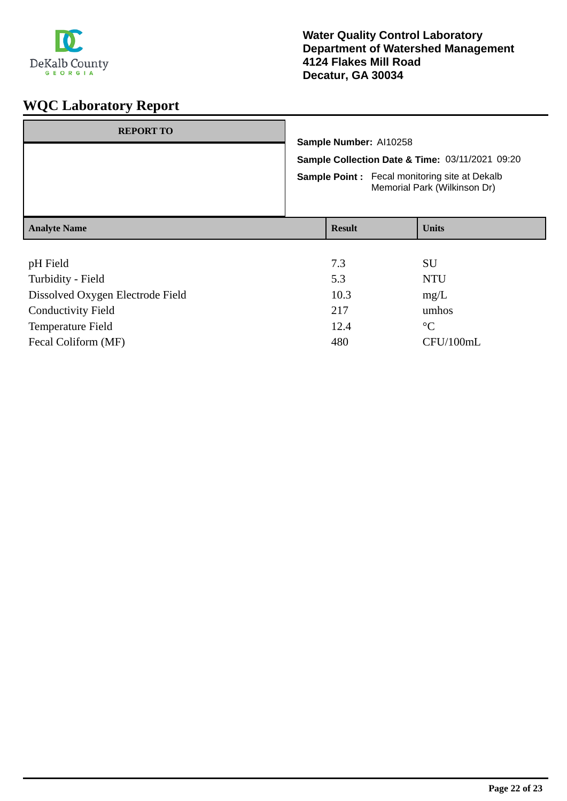

| <b>REPORT TO</b>                                 |                                                                                      |                      |              |
|--------------------------------------------------|--------------------------------------------------------------------------------------|----------------------|--------------|
|                                                  | Sample Number: Al10258                                                               |                      |              |
|                                                  | Sample Collection Date & Time: 03/11/2021 09:20                                      |                      |              |
|                                                  | <b>Sample Point:</b> Fecal monitoring site at Dekalb<br>Memorial Park (Wilkinson Dr) |                      |              |
| <b>Analyte Name</b>                              |                                                                                      | <b>Result</b>        | <b>Units</b> |
|                                                  |                                                                                      |                      |              |
| pH Field                                         |                                                                                      | 7.3                  | SU           |
| Turbidity - Field                                |                                                                                      | 5.3                  | <b>NTU</b>   |
| Dissolved Oxygen Electrode Field                 |                                                                                      | 10.3                 | mg/L         |
| $\sim$ $\sim$ $\sim$ $\sim$ $\sim$ $\sim$ $\sim$ |                                                                                      | $\sim$ $\sim$ $\sim$ |              |

| Conductivity Field  | 217  | umhos       |
|---------------------|------|-------------|
| Temperature Field   | 12.4 | $^{\circ}C$ |
| Fecal Coliform (MF) | 480  | CFU/100mL   |